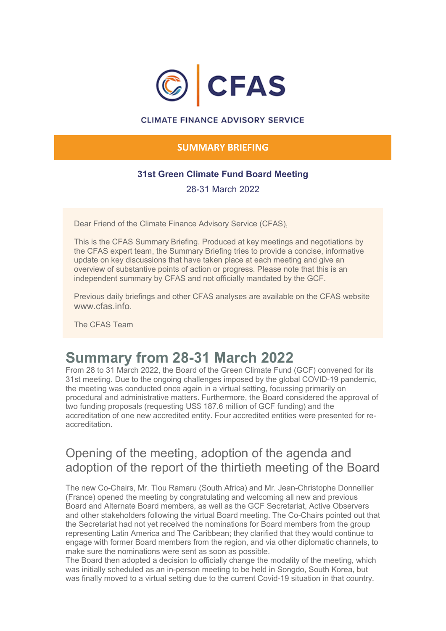

#### **CLIMATE FINANCE ADVISORY SERVICE**

### **SUMMARY BRIEFING**

### **31st Green Climate Fund Board Meeting**

28-31 March 2022

Dear Friend of the Climate Finance Advisory Service (CFAS),

This is the CFAS Summary Briefing. Produced at key meetings and negotiations by the CFAS expert team, the Summary Briefing tries to provide a concise, informative update on key discussions that have taken place at each meeting and give an overview of substantive points of action or progress. Please note that this is an independent summary by CFAS and not officially mandated by the GCF.

Previous daily briefings and other CFAS analyses are available on the CFAS website www.cfas.info

The CFAS Team

# **Summary from 28-31 March 2022**

From 28 to 31 March 2022, the Board of the Green Climate Fund (GCF) convened for its 31st meeting. Due to the ongoing challenges imposed by the global COVID-19 pandemic, the meeting was conducted once again in a virtual setting, focussing primarily on procedural and administrative matters. Furthermore, the Board considered the approval of two funding proposals (requesting US\$ 187.6 million of GCF funding) and the accreditation of one new accredited entity. Four accredited entities were presented for reaccreditation.

### Opening of the meeting, adoption of the agenda and adoption of the report of the thirtieth meeting of the Board

The new Co-Chairs, Mr. Tlou Ramaru (South Africa) and Mr. Jean-Christophe Donnellier (France) opened the meeting by congratulating and welcoming all new and previous Board and Alternate Board members, as well as the GCF Secretariat, Active Observers and other stakeholders following the virtual Board meeting. The Co-Chairs pointed out that the Secretariat had not yet received the nominations for Board members from the group representing Latin America and The Caribbean; they clarified that they would continue to engage with former Board members from the region, and via other diplomatic channels, to make sure the nominations were sent as soon as possible.

The Board then adopted a decision to officially change the modality of the meeting, which was initially scheduled as an in-person meeting to be held in Songdo, South Korea, but was finally moved to a virtual setting due to the current Covid-19 situation in that country.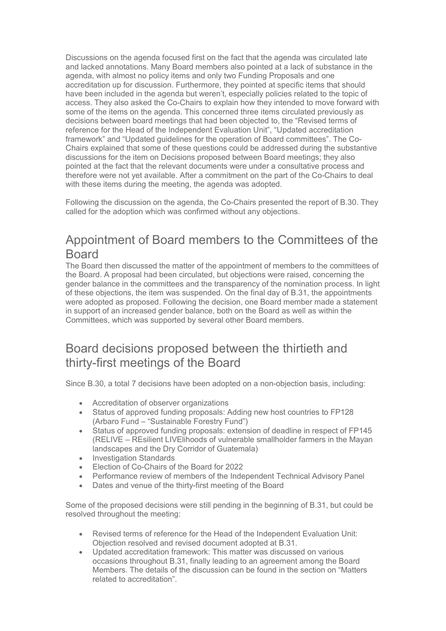Discussions on the agenda focused first on the fact that the agenda was circulated late and lacked annotations. Many Board members also pointed at a lack of substance in the agenda, with almost no policy items and only two Funding Proposals and one accreditation up for discussion. Furthermore, they pointed at specific items that should have been included in the agenda but weren't, especially policies related to the topic of access. They also asked the Co-Chairs to explain how they intended to move forward with some of the items on the agenda. This concerned three items circulated previously as decisions between board meetings that had been objected to, the "Revised terms of reference for the Head of the Independent Evaluation Unit", "Updated accreditation framework" and "Updated guidelines for the operation of Board committees". The Co-Chairs explained that some of these questions could be addressed during the substantive discussions for the item on Decisions proposed between Board meetings; they also pointed at the fact that the relevant documents were under a consultative process and therefore were not yet available. After a commitment on the part of the Co-Chairs to deal with these items during the meeting, the agenda was adopted.

Following the discussion on the agenda, the Co-Chairs presented the report of B.30. They called for the adoption which was confirmed without any objections.

### Appointment of Board members to the Committees of the Board

The Board then discussed the matter of the appointment of members to the committees of the Board. A proposal had been circulated, but objections were raised, concerning the gender balance in the committees and the transparency of the nomination process. In light of these objections, the item was suspended. On the final day of B.31, the appointments were adopted as proposed. Following the decision, one Board member made a statement in support of an increased gender balance, both on the Board as well as within the Committees, which was supported by several other Board members.

### Board decisions proposed between the thirtieth and thirty-first meetings of the Board

Since B.30, a total 7 decisions have been adopted on a non-objection basis, including:

- Accreditation of observer organizations
- Status of approved funding proposals: Adding new host countries to FP128 (Arbaro Fund – "Sustainable Forestry Fund")
- Status of approved funding proposals: extension of deadline in respect of FP145 (RELIVE – REsilient LIVElihoods of vulnerable smallholder farmers in the Mayan landscapes and the Dry Corridor of Guatemala)
- Investigation Standards
- Election of Co-Chairs of the Board for 2022
- Performance review of members of the Independent Technical Advisory Panel
- Dates and venue of the thirty-first meeting of the Board

Some of the proposed decisions were still pending in the beginning of B.31, but could be resolved throughout the meeting:

- Revised terms of reference for the Head of the Independent Evaluation Unit: Objection resolved and revised document adopted at B.31.
- Updated accreditation framework: This matter was discussed on various occasions throughout B.31, finally leading to an agreement among the Board Members. The details of the discussion can be found in the section on "Matters related to accreditation".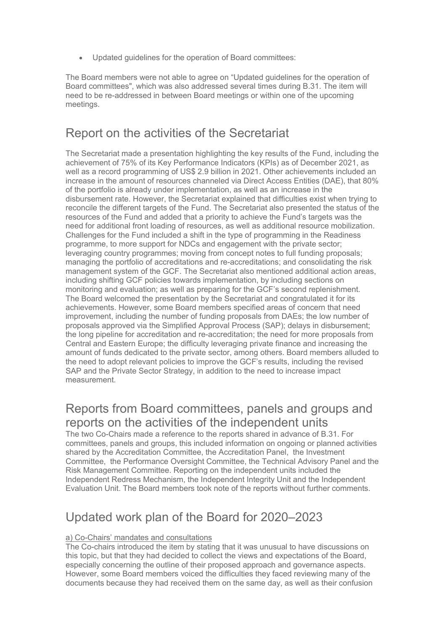• Updated guidelines for the operation of Board committees:

The Board members were not able to agree on "Updated guidelines for the operation of Board committees", which was also addressed several times during B.31. The item will need to be re-addressed in between Board meetings or within one of the upcoming meetings.

### Report on the activities of the Secretariat

The Secretariat made a presentation highlighting the key results of the Fund, including the achievement of 75% of its Key Performance Indicators (KPIs) as of December 2021, as well as a record programming of US\$ 2.9 billion in 2021. Other achievements included an increase in the amount of resources channeled via Direct Access Entities (DAE), that 80% of the portfolio is already under implementation, as well as an increase in the disbursement rate. However, the Secretariat explained that difficulties exist when trying to reconcile the different targets of the Fund. The Secretariat also presented the status of the resources of the Fund and added that a priority to achieve the Fund's targets was the need for additional front loading of resources, as well as additional resource mobilization. Challenges for the Fund included a shift in the type of programming in the Readiness programme, to more support for NDCs and engagement with the private sector; leveraging country programmes; moving from concept notes to full funding proposals; managing the portfolio of accreditations and re-accreditations; and consolidating the risk management system of the GCF. The Secretariat also mentioned additional action areas, including shifting GCF policies towards implementation, by including sections on monitoring and evaluation; as well as preparing for the GCF's second replenishment. The Board welcomed the presentation by the Secretariat and congratulated it for its achievements. However, some Board members specified areas of concern that need improvement, including the number of funding proposals from DAEs; the low number of proposals approved via the Simplified Approval Process (SAP); delays in disbursement; the long pipeline for accreditation and re-accreditation; the need for more proposals from Central and Eastern Europe; the difficulty leveraging private finance and increasing the amount of funds dedicated to the private sector, among others. Board members alluded to the need to adopt relevant policies to improve the GCF's results, including the revised SAP and the Private Sector Strategy, in addition to the need to increase impact measurement.

### Reports from Board committees, panels and groups and reports on the activities of the independent units

The two Co-Chairs made a reference to the reports shared in advance of B.31. For committees, panels and groups, this included information on ongoing or planned activities shared by the Accreditation Committee, the Accreditation Panel, the Investment Committee, the Performance Oversight Committee, the Technical Advisory Panel and the Risk Management Committee. Reporting on the independent units included the Independent Redress Mechanism, the Independent Integrity Unit and the Independent Evaluation Unit. The Board members took note of the reports without further comments.

### Updated work plan of the Board for 2020–2023

#### a) Co-Chairs' mandates and consultations

The Co-chairs introduced the item by stating that it was unusual to have discussions on this topic, but that they had decided to collect the views and expectations of the Board, especially concerning the outline of their proposed approach and governance aspects. However, some Board members voiced the difficulties they faced reviewing many of the documents because they had received them on the same day, as well as their confusion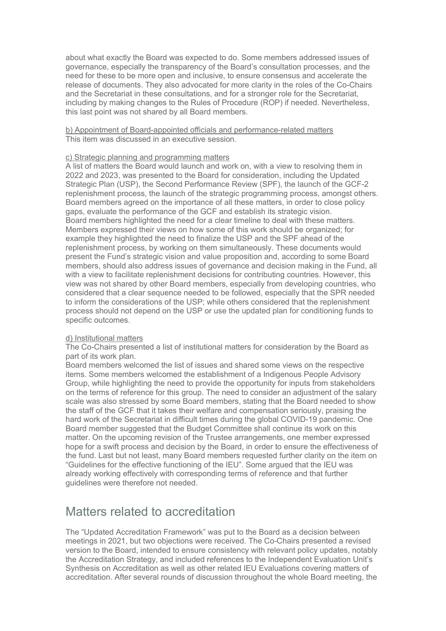about what exactly the Board was expected to do. Some members addressed issues of governance, especially the transparency of the Board's consultation processes, and the need for these to be more open and inclusive, to ensure consensus and accelerate the release of documents. They also advocated for more clarity in the roles of the Co-Chairs and the Secretariat in these consultations, and for a stronger role for the Secretariat, including by making changes to the Rules of Procedure (ROP) if needed. Nevertheless, this last point was not shared by all Board members.

b) Appointment of Board-appointed officials and performance-related matters This item was discussed in an executive session.

#### c) Strategic planning and programming matters

A list of matters the Board would launch and work on, with a view to resolving them in 2022 and 2023, was presented to the Board for consideration, including the Updated Strategic Plan (USP), the Second Performance Review (SPF), the launch of the GCF-2 replenishment process, the launch of the strategic programming process, amongst others. Board members agreed on the importance of all these matters, in order to close policy gaps, evaluate the performance of the GCF and establish its strategic vision. Board members highlighted the need for a clear timeline to deal with these matters. Members expressed their views on how some of this work should be organized; for example they highlighted the need to finalize the USP and the SPF ahead of the replenishment process, by working on them simultaneously. These documents would present the Fund's strategic vision and value proposition and, according to some Board members, should also address issues of governance and decision making in the Fund, all with a view to facilitate replenishment decisions for contributing countries. However, this view was not shared by other Board members, especially from developing countries, who considered that a clear sequence needed to be followed, especially that the SPR needed to inform the considerations of the USP; while others considered that the replenishment process should not depend on the USP or use the updated plan for conditioning funds to specific outcomes.

#### d) Institutional matters

The Co-Chairs presented a list of institutional matters for consideration by the Board as part of its work plan.

Board members welcomed the list of issues and shared some views on the respective items. Some members welcomed the establishment of a Indigenous People Advisory Group, while highlighting the need to provide the opportunity for inputs from stakeholders on the terms of reference for this group. The need to consider an adjustment of the salary scale was also stressed by some Board members, stating that the Board needed to show the staff of the GCF that it takes their welfare and compensation seriously, praising the hard work of the Secretariat in difficult times during the global COVID-19 pandemic. One Board member suggested that the Budget Committee shall continue its work on this matter. On the upcoming revision of the Trustee arrangements, one member expressed hope for a swift process and decision by the Board, in order to ensure the effectiveness of the fund. Last but not least, many Board members requested further clarity on the item on "Guidelines for the effective functioning of the IEU". Some argued that the IEU was already working effectively with corresponding terms of reference and that further guidelines were therefore not needed.

### Matters related to accreditation

The "Updated Accreditation Framework" was put to the Board as a decision between meetings in 2021, but two objections were received. The Co-Chairs presented a revised version to the Board, intended to ensure consistency with relevant policy updates, notably the Accreditation Strategy, and included references to the Independent Evaluation Unit's Synthesis on Accreditation as well as other related IEU Evaluations covering matters of accreditation. After several rounds of discussion throughout the whole Board meeting, the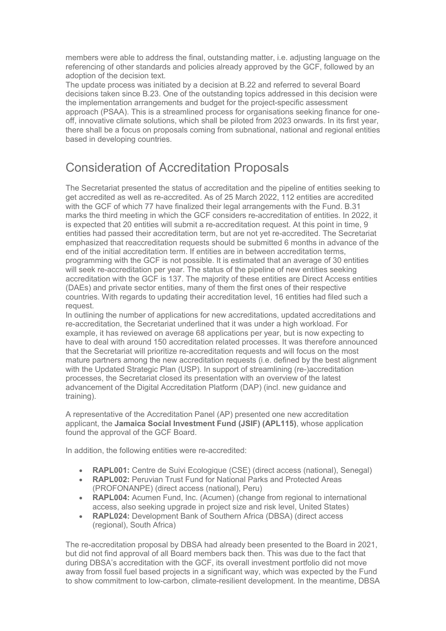members were able to address the final, outstanding matter, i.e. adjusting language on the referencing of other standards and policies already approved by the GCF, followed by an adoption of the decision text.

The update process was initiated by a decision at B.22 and referred to several Board decisions taken since B.23. One of the outstanding topics addressed in this decision were the implementation arrangements and budget for the project-specific assessment approach (PSAA). This is a streamlined process for organisations seeking finance for oneoff, innovative climate solutions, which shall be piloted from 2023 onwards. In its first year, there shall be a focus on proposals coming from subnational, national and regional entities based in developing countries.

# Consideration of Accreditation Proposals

The Secretariat presented the status of accreditation and the pipeline of entities seeking to get accredited as well as re-accredited. As of 25 March 2022, 112 entities are accredited with the GCF of which 77 have finalized their legal arrangements with the Fund. B.31 marks the third meeting in which the GCF considers re-accreditation of entities. In 2022, it is expected that 20 entities will submit a re-accreditation request. At this point in time, 9 entities had passed their accreditation term, but are not yet re-accredited. The Secretariat emphasized that reaccreditation requests should be submitted 6 months in advance of the end of the initial accreditation term. If entities are in between accreditation terms, programming with the GCF is not possible. It is estimated that an average of 30 entities will seek re-accreditation per year. The status of the pipeline of new entities seeking accreditation with the GCF is 137. The majority of these entities are Direct Access entities (DAEs) and private sector entities, many of them the first ones of their respective countries. With regards to updating their accreditation level, 16 entities had filed such a request.

In outlining the number of applications for new accreditations, updated accreditations and re-accreditation, the Secretariat underlined that it was under a high workload. For example, it has reviewed on average 68 applications per year, but is now expecting to have to deal with around 150 accreditation related processes. It was therefore announced that the Secretariat will prioritize re-accreditation requests and will focus on the most mature partners among the new accreditation requests (i.e. defined by the best alignment with the Updated Strategic Plan (USP). In support of streamlining (re-)accreditation processes, the Secretariat closed its presentation with an overview of the latest advancement of the Digital Accreditation Platform (DAP) (incl. new guidance and training).

A representative of the Accreditation Panel (AP) presented one new accreditation applicant, the **Jamaica Social Investment Fund (JSIF) (APL115)**, whose application found the approval of the GCF Board.

In addition, the following entities were re-accredited:

- **RAPL001:** Centre de Suivi Ecologique (CSE) (direct access (national), Senegal)
- **RAPL002:** Peruvian Trust Fund for National Parks and Protected Areas (PROFONANPE) (direct access (national), Peru)
- **RAPL004:** Acumen Fund, Inc. (Acumen) (change from regional to international access, also seeking upgrade in project size and risk level, United States)
- **RAPL024:** Development Bank of Southern Africa (DBSA) (direct access (regional), South Africa)

The re-accreditation proposal by DBSA had already been presented to the Board in 2021, but did not find approval of all Board members back then. This was due to the fact that during DBSA's accreditation with the GCF, its overall investment portfolio did not move away from fossil fuel based projects in a significant way, which was expected by the Fund to show commitment to low-carbon, climate-resilient development. In the meantime, DBSA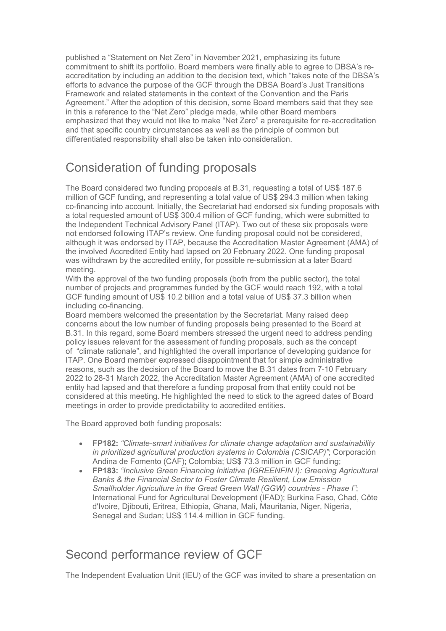published a "Statement on Net Zero" in November 2021, emphasizing its future commitment to shift its portfolio. Board members were finally able to agree to DBSA's reaccreditation by including an addition to the decision text, which "takes note of the DBSA's efforts to advance the purpose of the GCF through the DBSA Board's Just Transitions Framework and related statements in the context of the Convention and the Paris Agreement." After the adoption of this decision, some Board members said that they see in this a reference to the "Net Zero" pledge made, while other Board members emphasized that they would not like to make "Net Zero" a prerequisite for re-accreditation and that specific country circumstances as well as the principle of common but differentiated responsibility shall also be taken into consideration.

### Consideration of funding proposals

The Board considered two funding proposals at B.31, requesting a total of US\$ 187.6 million of GCF funding, and representing a total value of US\$ 294.3 million when taking co-financing into account. Initially, the Secretariat had endorsed six funding proposals with a total requested amount of US\$ 300.4 million of GCF funding, which were submitted to the Independent Technical Advisory Panel (ITAP). Two out of these six proposals were not endorsed following ITAP's review. One funding proposal could not be considered, although it was endorsed by ITAP, because the Accreditation Master Agreement (AMA) of the involved Accredited Entity had lapsed on 20 February 2022. One funding proposal was withdrawn by the accredited entity, for possible re-submission at a later Board meeting.

With the approval of the two funding proposals (both from the public sector), the total number of projects and programmes funded by the GCF would reach 192, with a total GCF funding amount of US\$ 10.2 billion and a total value of US\$ 37.3 billion when including co-financing.

Board members welcomed the presentation by the Secretariat. Many raised deep concerns about the low number of funding proposals being presented to the Board at B.31. In this regard, some Board members stressed the urgent need to address pending policy issues relevant for the assessment of funding proposals, such as the concept of "climate rationale", and highlighted the overall importance of developing guidance for ITAP. One Board member expressed disappointment that for simple administrative reasons, such as the decision of the Board to move the B.31 dates from 7-10 February 2022 to 28-31 March 2022, the Accreditation Master Agreement (AMA) of one accredited entity had lapsed and that therefore a funding proposal from that entity could not be considered at this meeting. He highlighted the need to stick to the agreed dates of Board meetings in order to provide predictability to accredited entities.

The Board approved both funding proposals:

- **FP182:** *"Climate-smart initiatives for climate change adaptation and sustainability in prioritized agricultural production systems in Colombia (CSICAP)"*; Corporación Andina de Fomento (CAF); Colombia; US\$ 73.3 million in GCF funding;
- **FP183:** *"Inclusive Green Financing Initiative (IGREENFIN I): Greening Agricultural Banks & the Financial Sector to Foster Climate Resilient, Low Emission Smallholder Agriculture in the Great Green Wall (GGW) countries - Phase I"*; International Fund for Agricultural Development (IFAD); Burkina Faso, Chad, Côte d'Ivoire, Djibouti, Eritrea, Ethiopia, Ghana, Mali, Mauritania, Niger, Nigeria, Senegal and Sudan; US\$ 114.4 million in GCF funding.

## Second performance review of GCF

The Independent Evaluation Unit (IEU) of the GCF was invited to share a presentation on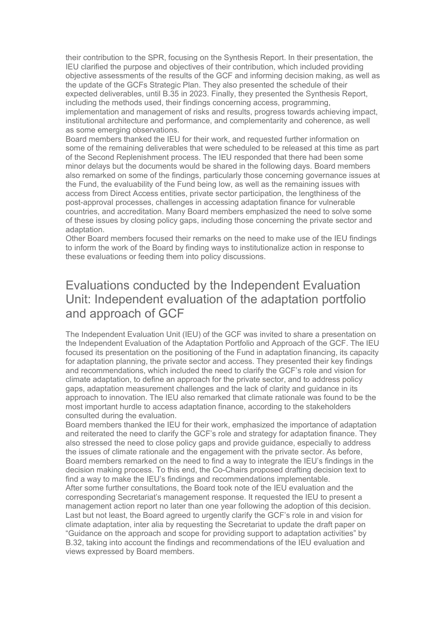their contribution to the SPR, focusing on the Synthesis Report. In their presentation, the IEU clarified the purpose and objectives of their contribution, which included providing objective assessments of the results of the GCF and informing decision making, as well as the update of the GCFs Strategic Plan. They also presented the schedule of their expected deliverables, until B.35 in 2023. Finally, they presented the Synthesis Report, including the methods used, their findings concerning access, programming, implementation and management of risks and results, progress towards achieving impact, institutional architecture and performance, and complementarity and coherence, as well as some emerging observations.

Board members thanked the IEU for their work, and requested further information on some of the remaining deliverables that were scheduled to be released at this time as part of the Second Replenishment process. The IEU responded that there had been some minor delays but the documents would be shared in the following days. Board members also remarked on some of the findings, particularly those concerning governance issues at the Fund, the evaluability of the Fund being low, as well as the remaining issues with access from Direct Access entities, private sector participation, the lengthiness of the post-approval processes, challenges in accessing adaptation finance for vulnerable countries, and accreditation. Many Board members emphasized the need to solve some of these issues by closing policy gaps, including those concerning the private sector and adaptation.

Other Board members focused their remarks on the need to make use of the IEU findings to inform the work of the Board by finding ways to institutionalize action in response to these evaluations or feeding them into policy discussions.

### Evaluations conducted by the Independent Evaluation Unit: Independent evaluation of the adaptation portfolio and approach of GCF

The Independent Evaluation Unit (IEU) of the GCF was invited to share a presentation on the Independent Evaluation of the Adaptation Portfolio and Approach of the GCF. The IEU focused its presentation on the positioning of the Fund in adaptation financing, its capacity for adaptation planning, the private sector and access. They presented their key findings and recommendations, which included the need to clarify the GCF's role and vision for climate adaptation, to define an approach for the private sector, and to address policy gaps, adaptation measurement challenges and the lack of clarity and guidance in its approach to innovation. The IEU also remarked that climate rationale was found to be the most important hurdle to access adaptation finance, according to the stakeholders consulted during the evaluation.

Board members thanked the IEU for their work, emphasized the importance of adaptation and reiterated the need to clarify the GCF's role and strategy for adaptation finance. They also stressed the need to close policy gaps and provide guidance, especially to address the issues of climate rationale and the engagement with the private sector. As before, Board members remarked on the need to find a way to integrate the IEU's findings in the decision making process. To this end, the Co-Chairs proposed drafting decision text to find a way to make the IEU's findings and recommendations implementable.

After some further consultations, the Board took note of the IEU evaluation and the corresponding Secretariat's management response. It requested the IEU to present a management action report no later than one year following the adoption of this decision. Last but not least, the Board agreed to urgently clarify the GCF's role in and vision for climate adaptation, inter alia by requesting the Secretariat to update the draft paper on "Guidance on the approach and scope for providing support to adaptation activities" by B.32, taking into account the findings and recommendations of the IEU evaluation and views expressed by Board members.